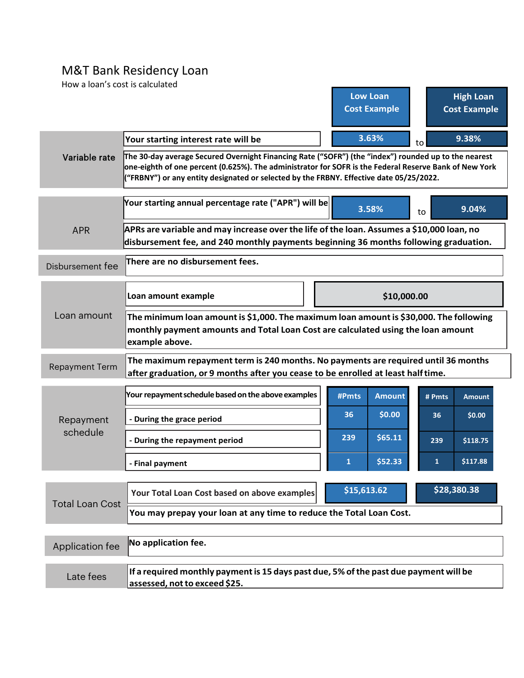## M&T Bank Residency Loan

| How a loan's cost is calculated |                                                                                                                                                                                                                                                                                                           | <b>Low Loan</b><br><b>Cost Example</b> | <b>High Loan</b><br><b>Cost Example</b> |  |
|---------------------------------|-----------------------------------------------------------------------------------------------------------------------------------------------------------------------------------------------------------------------------------------------------------------------------------------------------------|----------------------------------------|-----------------------------------------|--|
|                                 | Your starting interest rate will be                                                                                                                                                                                                                                                                       | 3.63%                                  | 9.38%<br>to                             |  |
| Variable rate                   | The 30-day average Secured Overnight Financing Rate ("SOFR") (the "index") rounded up to the nearest<br>one-eighth of one percent (0.625%). The administrator for SOFR is the Federal Reserve Bank of New York<br>("FRBNY") or any entity designated or selected by the FRBNY. Effective date 05/25/2022. |                                        |                                         |  |
|                                 | Your starting annual percentage rate ("APR") will be                                                                                                                                                                                                                                                      | 3.58%                                  | 9.04%<br>to                             |  |
| <b>APR</b>                      | APRs are variable and may increase over the life of the loan. Assumes a \$10,000 loan, no                                                                                                                                                                                                                 |                                        |                                         |  |
|                                 | disbursement fee, and 240 monthly payments beginning 36 months following graduation.                                                                                                                                                                                                                      |                                        |                                         |  |
| Disbursement fee                | There are no disbursement fees.                                                                                                                                                                                                                                                                           |                                        |                                         |  |
| Loan amount                     | Loan amount example                                                                                                                                                                                                                                                                                       | \$10,000.00                            |                                         |  |
|                                 | The minimum loan amount is \$1,000. The maximum loan amount is \$30,000. The following<br>monthly payment amounts and Total Loan Cost are calculated using the loan amount<br>example above.                                                                                                              |                                        |                                         |  |
| <b>Repayment Term</b>           | The maximum repayment term is 240 months. No payments are required until 36 months<br>after graduation, or 9 months after you cease to be enrolled at least half time.                                                                                                                                    |                                        |                                         |  |
| Repayment<br>schedule           | Your repayment schedule based on the above examples                                                                                                                                                                                                                                                       | #Pmts<br><b>Amount</b>                 | # Pmts<br><b>Amount</b>                 |  |
|                                 | - During the grace period                                                                                                                                                                                                                                                                                 | \$0.00<br>36                           | \$0.00<br>36                            |  |
|                                 | - During the repayment period                                                                                                                                                                                                                                                                             | \$65.11<br>239                         | 239<br>\$118.75                         |  |
|                                 | - Final payment                                                                                                                                                                                                                                                                                           | \$52.33<br>1                           | \$117.88<br>$\mathbf{1}$                |  |
| <b>Total Loan Cost</b>          | Your Total Loan Cost based on above examples                                                                                                                                                                                                                                                              | \$15,613.62<br>\$28,380.38             |                                         |  |
|                                 | You may prepay your loan at any time to reduce the Total Loan Cost.                                                                                                                                                                                                                                       |                                        |                                         |  |
|                                 |                                                                                                                                                                                                                                                                                                           |                                        |                                         |  |
| Application fee                 | No application fee.                                                                                                                                                                                                                                                                                       |                                        |                                         |  |
| Late fees                       | If a required monthly payment is 15 days past due, 5% of the past due payment will be<br>assessed, not to exceed \$25.                                                                                                                                                                                    |                                        |                                         |  |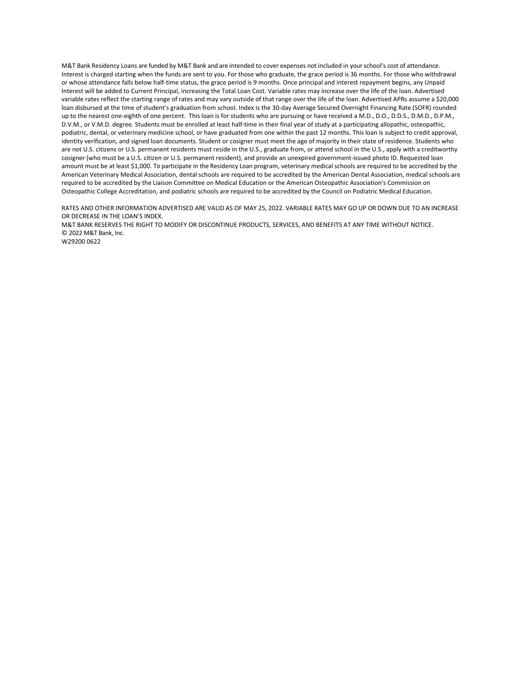M&T Bank Residency Loans are funded by M&T Bank and are intended to cover expenses not included in your school's cost of attendance. Interest is charged starting when the funds are sent to you. For those who graduate, the grace period is 36 months. For those who withdrawal or whose attendance falls below half-time status, the grace period is 9 months. Once principal and interest repayment begins, any Unpaid Interest will be added to Current Principal, increasing the Total Loan Cost. Variable rates may increase over the life of the loan. Advertised variable rates reflect the starting range of rates and may vary outside of that range over the life of the loan. Advertised APRs assume a \$20,000 loan disbursed at the time of student's graduation from school. Index is the 30-day Average Secured Overnight Financing Rate (SOFR) rounded up to the nearest one-eighth of one percent. This loan is for students who are pursuing or have received a M.D., D.O., D.D.S., D.M.D., D.P.M., D.V.M., or V.M.D. degree. Students must be enrolled at least half-time in their final year of study at a participating allopathic, osteopathic, podiatric, dental, or veterinary medicine school, or have graduated from one within the past 12 months. This loan is subject to credit approval, identity verification, and signed loan documents. Student or cosigner must meet the age of majority in their state of residence. Students who are not U.S. citizens or U.S. permanent residents must reside in the U.S., graduate from, or attend school in the U.S., apply with a creditworthy cosigner (who must be a U.S. citizen or U.S. permanent resident), and provide an unexpired government-issued photo ID. Requested loan amount must be at least \$1,000. To participate in the Residency Loan program, veterinary medical schools are required to be accredited by the American Veterinary Medical Association, dental schools are required to be accredited by the American Dental Association, medical schools are required to be accredited by the Liaison Committee on Medical Education or the American Osteopathic Association's Commission on Osteopathic College Accreditation, and podiatric schools are required to be accredited by the Council on Podiatric Medical Education.

RATES AND OTHER INFORMATION ADVERTISED ARE VALID AS OF MAY 25, 2022. VARIABLE RATES MAY GO UP OR DOWN DUE TO AN INCREASE OR DECREASE IN THE LOAN'S INDEX.

M&T BANK RESERVES THE RIGHT TO MODIFY OR DISCONTINUE PRODUCTS, SERVICES, AND BENEFITS AT ANY TIME WITHOUT NOTICE. © 2022 M&T Bank, Inc.

W29200 0622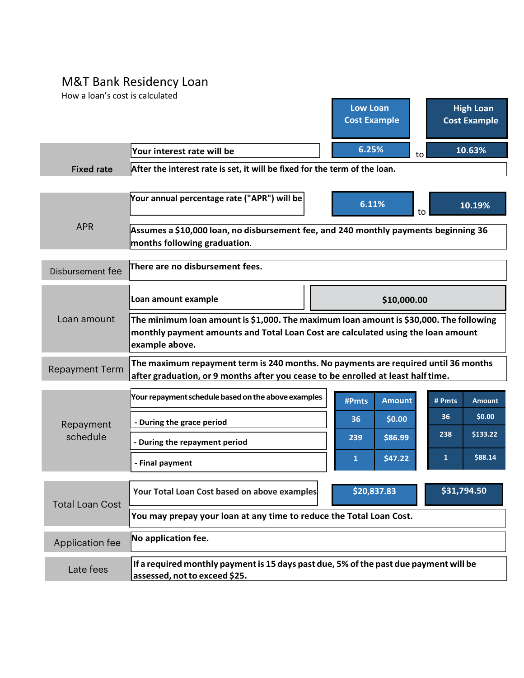## M&T Bank Residency Loan

How a loan's cost is calculated

|                        |                                                                                                                                                                                              | <b>Low Loan</b><br><b>Cost Example</b> | <b>High Loan</b><br><b>Cost Example</b> |  |
|------------------------|----------------------------------------------------------------------------------------------------------------------------------------------------------------------------------------------|----------------------------------------|-----------------------------------------|--|
|                        | Your interest rate will be                                                                                                                                                                   | 6.25%<br>to                            | 10.63%                                  |  |
| <b>Fixed rate</b>      | After the interest rate is set, it will be fixed for the term of the loan.                                                                                                                   |                                        |                                         |  |
|                        |                                                                                                                                                                                              |                                        |                                         |  |
| <b>APR</b>             | Your annual percentage rate ("APR") will be                                                                                                                                                  | 6.11%                                  | 10.19%<br>to                            |  |
|                        | Assumes a \$10,000 loan, no disbursement fee, and 240 monthly payments beginning 36<br>months following graduation.                                                                          |                                        |                                         |  |
|                        |                                                                                                                                                                                              |                                        |                                         |  |
| Disbursement fee       | There are no disbursement fees.                                                                                                                                                              |                                        |                                         |  |
|                        | Loan amount example                                                                                                                                                                          | \$10,000.00                            |                                         |  |
| Loan amount            | The minimum loan amount is \$1,000. The maximum loan amount is \$30,000. The following<br>monthly payment amounts and Total Loan Cost are calculated using the loan amount<br>example above. |                                        |                                         |  |
| <b>Repayment Term</b>  | The maximum repayment term is 240 months. No payments are required until 36 months<br>after graduation, or 9 months after you cease to be enrolled at least half time.                       |                                        |                                         |  |
|                        | Your repayment schedule based on the above examples                                                                                                                                          | <b>Amount</b><br>#Pmts                 | # Pmts<br><b>Amount</b>                 |  |
| Repayment              | - During the grace period                                                                                                                                                                    | \$0.00<br>36                           | \$0.00<br>36                            |  |
| schedule               | - During the repayment period                                                                                                                                                                | \$86.99<br>239                         | \$133.22<br>238                         |  |
|                        | - Final payment                                                                                                                                                                              | \$47.22<br>$\mathbf{1}$                | \$88.14<br>$\mathbf{1}$                 |  |
| <b>Total Loan Cost</b> | Your Total Loan Cost based on above examples                                                                                                                                                 | \$31,794.50<br>\$20,837.83             |                                         |  |
|                        | You may prepay your loan at any time to reduce the Total Loan Cost.                                                                                                                          |                                        |                                         |  |
| Application fee        | No application fee.                                                                                                                                                                          |                                        |                                         |  |
| Late fees              | If a required monthly payment is 15 days past due, 5% of the past due payment will be<br>assessed, not to exceed \$25.                                                                       |                                        |                                         |  |